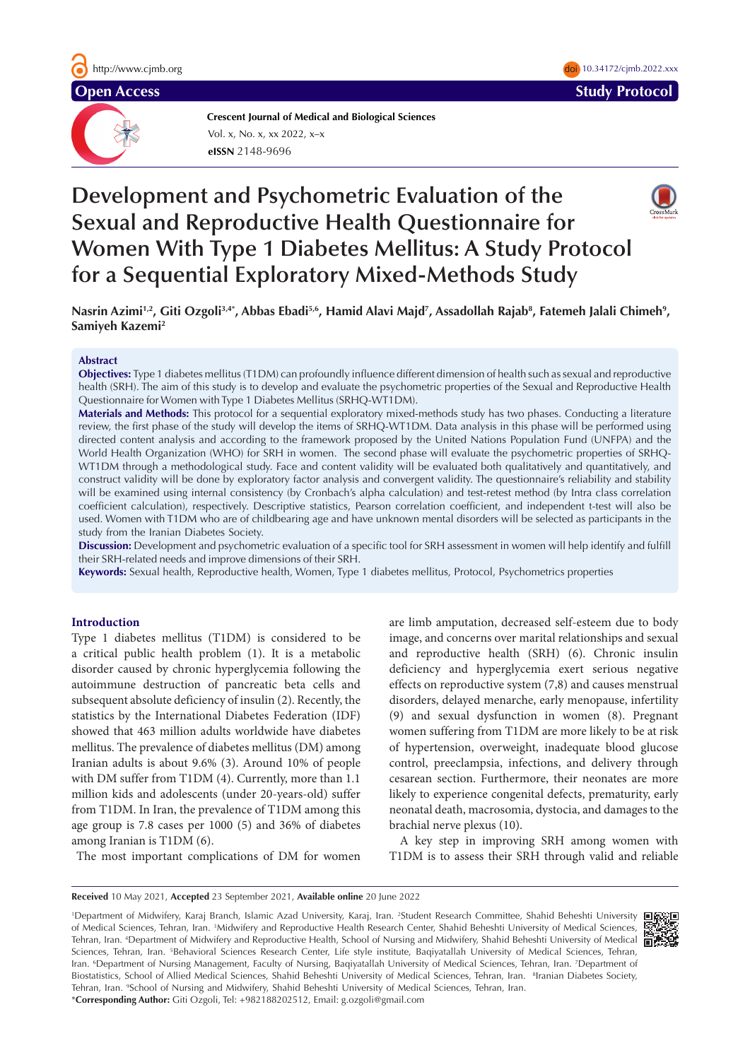

**Crescent Journal of Medical and Biological Sciences eISSN** 2148-9696 Vol. x, No. x, xx 2022, x–x

# **Development and Psychometric Evaluation of the Sexual and Reproductive Health Questionnaire for Women With Type 1 Diabetes Mellitus: A Study Protocol for a Sequential Exploratory Mixed-Methods Study**



#### **Abstract**

**Samiyeh Kazemi2**

**Objectives:** Type 1 diabetes mellitus (T1DM) can profoundly influence different dimension of health such as sexual and reproductive health (SRH). The aim of this study is to develop and evaluate the psychometric properties of the Sexual and Reproductive Health Questionnaire for Women with Type 1 Diabetes Mellitus (SRHQ-WT1DM).

**Materials and Methods:** This protocol for a sequential exploratory mixed-methods study has two phases. Conducting a literature review, the first phase of the study will develop the items of SRHQ-WT1DM. Data analysis in this phase will be performed using directed content analysis and according to the framework proposed by the United Nations Population Fund (UNFPA) and the World Health Organization (WHO) for SRH in women. The second phase will evaluate the psychometric properties of SRHQ-WT1DM through a methodological study. Face and content validity will be evaluated both qualitatively and quantitatively, and construct validity will be done by exploratory factor analysis and convergent validity. The questionnaire's reliability and stability will be examined using internal consistency (by Cronbach's alpha calculation) and test-retest method (by Intra class correlation coefficient calculation), respectively. Descriptive statistics, Pearson correlation coefficient, and independent t-test will also be used. Women with T1DM who are of childbearing age and have unknown mental disorders will be selected as participants in the study from the Iranian Diabetes Society.

**Discussion:** Development and psychometric evaluation of a specific tool for SRH assessment in women will help identify and fulfill their SRH-related needs and improve dimensions of their SRH.

**Keywords:** Sexual health, Reproductive health, Women, Type 1 diabetes mellitus, Protocol, Psychometrics properties

## **Introduction**

Type 1 diabetes mellitus (T1DM) is considered to be a critical public health problem (1). It is a metabolic disorder caused by chronic hyperglycemia following the autoimmune destruction of pancreatic beta cells and subsequent absolute deficiency of insulin (2). Recently, the statistics by the International Diabetes Federation (IDF) showed that 463 million adults worldwide have diabetes mellitus. The prevalence of diabetes mellitus (DM) among Iranian adults is about 9.6% (3). Around 10% of people with DM suffer from T1DM (4). Currently, more than 1.1 million kids and adolescents (under 20-years-old) suffer from T1DM. In Iran, the prevalence of T1DM among this age group is 7.8 cases per 1000 (5) and 36% of diabetes among Iranian is T1DM (6).

The most important complications of DM for women

are limb amputation, decreased self-esteem due to body image, and concerns over marital relationships and sexual and reproductive health (SRH) (6). Chronic insulin deficiency and hyperglycemia exert serious negative effects on reproductive system (7,8) and causes menstrual disorders, delayed menarche, early menopause, infertility (9) and sexual dysfunction in women (8). Pregnant women suffering from T1DM are more likely to be at risk of hypertension, overweight, inadequate blood glucose control, preeclampsia, infections, and delivery through cesarean section. Furthermore, their neonates are more likely to experience congenital defects, prematurity, early neonatal death, macrosomia, dystocia, and damages to the brachial nerve plexus (10).

A key step in improving SRH among women with T1DM is to assess their SRH through valid and reliable

**Received** 10 May 2021, **Accepted** 23 September 2021, **Available online** 20 June 2022

1 Department of Midwifery, Karaj Branch, Islamic Azad University, Karaj, Iran. 2 Student Research Committee, Shahid Beheshti University of Medical Sciences, Tehran, Iran. <sup>3</sup>Midwifery and Reproductive Health Research Center, Shahid Beheshti University of Medical Sciences, Tehran, Iran. 4 Department of Midwifery and Reproductive Health, School of Nursing and Midwifery, Shahid Beheshti University of Medical Sciences, Tehran, Iran. <sup>5</sup>Behavioral Sciences Research Center, Life style institute, Baqiyatallah University of Medical Sciences, Tehran, Iran. <sup>6</sup>Department of Nursing Management, Faculty of Nursing, Baqiyatallah University of Medical Sciences, Tehran, Iran. 7Department of Biostatistics, School of Allied Medical Sciences, Shahid Beheshti University of Medical Sciences, Tehran, Iran. <sup>8</sup>Iranian Diabetes Society, Tehran, Iran. <sup>9</sup>School of Nursing and Midwifery, Shahid Beheshti University of Medical Sciences, Tehran, Iran. \***Corresponding Author:** Giti Ozgoli, Tel: +982188202512, Email: g.ozgoli@gmail.com



**Open Access Study Protocol 2018 Study Protocol 2018** doi 10.34172/cjmb.2022.xxx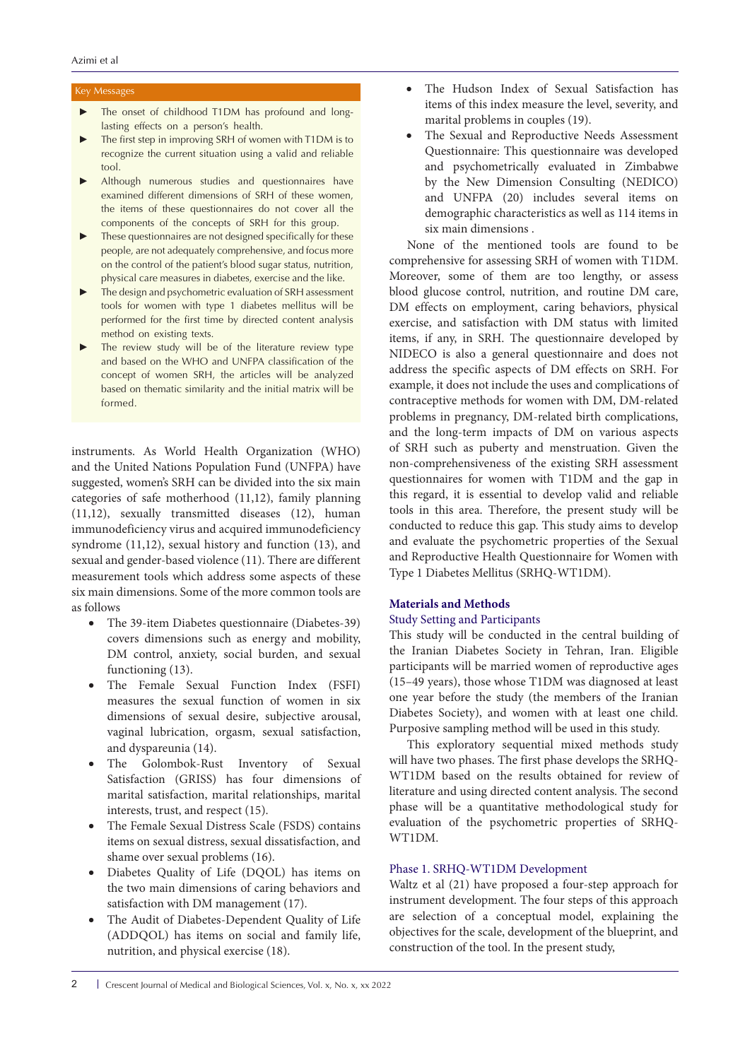## Key Messages

- The onset of childhood T1DM has profound and longlasting effects on a person's health.
- The first step in improving SRH of women with T1DM is to recognize the current situation using a valid and reliable tool.
- Although numerous studies and questionnaires have examined different dimensions of SRH of these women, the items of these questionnaires do not cover all the components of the concepts of SRH for this group.
- ► These questionnaires are not designed specifically for these people, are not adequately comprehensive, and focus more on the control of the patient's blood sugar status, nutrition, physical care measures in diabetes, exercise and the like.
- The design and psychometric evaluation of SRH assessment tools for women with type 1 diabetes mellitus will be performed for the first time by directed content analysis method on existing texts.
- The review study will be of the literature review type and based on the WHO and UNFPA classification of the concept of women SRH, the articles will be analyzed based on thematic similarity and the initial matrix will be formed.

instruments. As World Health Organization (WHO) and the United Nations Population Fund (UNFPA) have suggested, women's SRH can be divided into the six main categories of safe motherhood (11,12), family planning (11,12), sexually transmitted diseases (12), human immunodeficiency virus and acquired immunodeficiency syndrome (11,12), sexual history and function (13), and sexual and gender-based violence (11). There are different measurement tools which address some aspects of these six main dimensions. Some of the more common tools are as follows

- The 39-item Diabetes questionnaire (Diabetes-39) covers dimensions such as energy and mobility, DM control, anxiety, social burden, and sexual functioning (13).
- The Female Sexual Function Index (FSFI) measures the sexual function of women in six dimensions of sexual desire, subjective arousal, vaginal lubrication, orgasm, sexual satisfaction, and dyspareunia (14).
- The Golombok-Rust Inventory of Sexual Satisfaction (GRISS) has four dimensions of marital satisfaction, marital relationships, marital interests, trust, and respect (15).
- The Female Sexual Distress Scale (FSDS) contains items on sexual distress, sexual dissatisfaction, and shame over sexual problems (16).
- Diabetes Quality of Life (DQOL) has items on the two main dimensions of caring behaviors and satisfaction with DM management (17).
- The Audit of Diabetes-Dependent Quality of Life (ADDQOL) has items on social and family life, nutrition, and physical exercise (18).
- The Hudson Index of Sexual Satisfaction has items of this index measure the level, severity, and marital problems in couples (19).
- The Sexual and Reproductive Needs Assessment Questionnaire: This questionnaire was developed and psychometrically evaluated in Zimbabwe by the New Dimension Consulting (NEDICO) and UNFPA (20) includes several items on demographic characteristics as well as 114 items in six main dimensions .

None of the mentioned tools are found to be comprehensive for assessing SRH of women with T1DM. Moreover, some of them are too lengthy, or assess blood glucose control, nutrition, and routine DM care, DM effects on employment, caring behaviors, physical exercise, and satisfaction with DM status with limited items, if any, in SRH. The questionnaire developed by NIDECO is also a general questionnaire and does not address the specific aspects of DM effects on SRH. For example, it does not include the uses and complications of contraceptive methods for women with DM, DM-related problems in pregnancy, DM-related birth complications, and the long-term impacts of DM on various aspects of SRH such as puberty and menstruation. Given the non-comprehensiveness of the existing SRH assessment questionnaires for women with T1DM and the gap in this regard, it is essential to develop valid and reliable tools in this area. Therefore, the present study will be conducted to reduce this gap. This study aims to develop and evaluate the psychometric properties of the Sexual and Reproductive Health Questionnaire for Women with Type 1 Diabetes Mellitus (SRHQ-WT1DM).

## **Materials and Methods**

# Study Setting and Participants

This study will be conducted in the central building of the Iranian Diabetes Society in Tehran, Iran. Eligible participants will be married women of reproductive ages (15–49 years), those whose T1DM was diagnosed at least one year before the study (the members of the Iranian Diabetes Society), and women with at least one child. Purposive sampling method will be used in this study.

This exploratory sequential mixed methods study will have two phases. The first phase develops the SRHQ-WT1DM based on the results obtained for review of literature and using directed content analysis. The second phase will be a quantitative methodological study for evaluation of the psychometric properties of SRHQ-WT1DM.

# Phase 1. SRHQ-WT1DM Development

Waltz et al (21) have proposed a four-step approach for instrument development. The four steps of this approach are selection of a conceptual model, explaining the objectives for the scale, development of the blueprint, and construction of the tool. In the present study,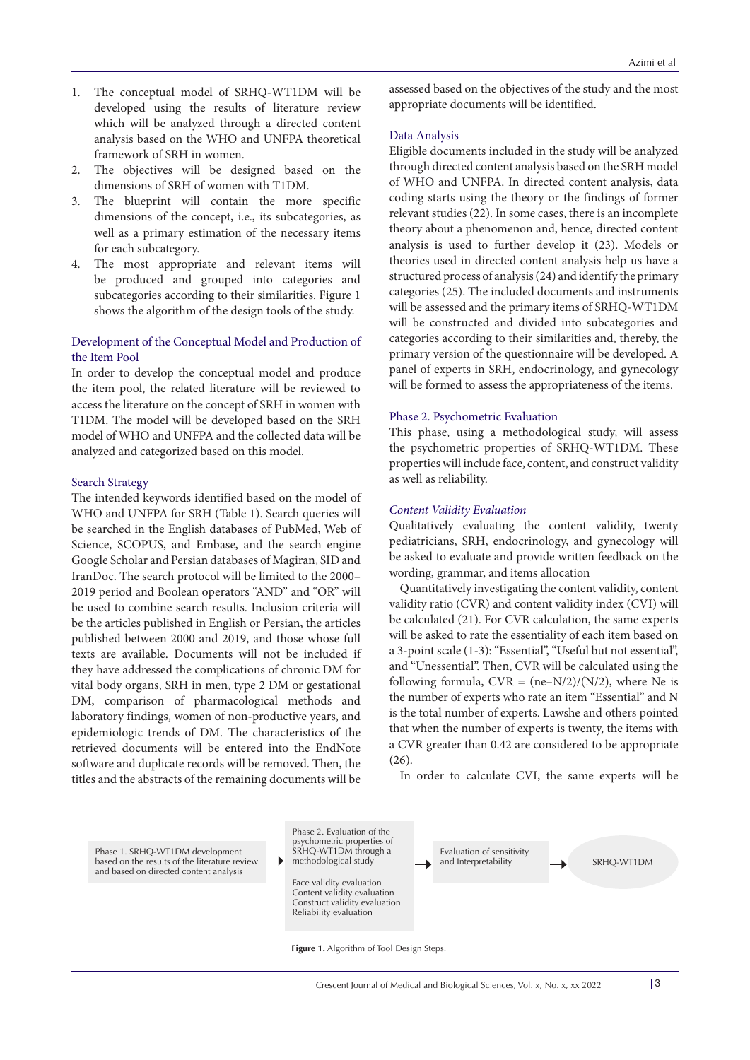- 1. The conceptual model of SRHQ-WT1DM will be developed using the results of literature review which will be analyzed through a directed content analysis based on the WHO and UNFPA theoretical framework of SRH in women.
- 2. The objectives will be designed based on the dimensions of SRH of women with T1DM.
- 3. The blueprint will contain the more specific dimensions of the concept, i.e., its subcategories, as well as a primary estimation of the necessary items for each subcategory.
- 4. The most appropriate and relevant items will be produced and grouped into categories and subcategories according to their similarities. Figure 1 shows the algorithm of the design tools of the study.

# Development of the Conceptual Model and Production of the Item Pool

In order to develop the conceptual model and produce the item pool, the related literature will be reviewed to access the literature on the concept of SRH in women with T1DM. The model will be developed based on the SRH model of WHO and UNFPA and the collected data will be analyzed and categorized based on this model.

#### Search Strategy

The intended keywords identified based on the model of WHO and UNFPA for SRH (Table 1). Search queries will be searched in the English databases of PubMed, Web of Science, SCOPUS, and Embase, and the search engine Google Scholar and Persian databases of Magiran, SID and IranDoc. The search protocol will be limited to the 2000– 2019 period and Boolean operators "AND" and "OR" will be used to combine search results. Inclusion criteria will be the articles published in English or Persian, the articles published between 2000 and 2019, and those whose full texts are available. Documents will not be included if they have addressed the complications of chronic DM for vital body organs, SRH in men, type 2 DM or gestational DM, comparison of pharmacological methods and laboratory findings, women of non-productive years, and epidemiologic trends of DM. The characteristics of the retrieved documents will be entered into the EndNote software and duplicate records will be removed. Then, the titles and the abstracts of the remaining documents will be

assessed based on the objectives of the study and the most appropriate documents will be identified.

#### Data Analysis

Eligible documents included in the study will be analyzed through directed content analysis based on the SRH model of WHO and UNFPA. In directed content analysis, data coding starts using the theory or the findings of former relevant studies (22). In some cases, there is an incomplete theory about a phenomenon and, hence, directed content analysis is used to further develop it (23). Models or theories used in directed content analysis help us have a structured process of analysis (24) and identify the primary categories (25). The included documents and instruments will be assessed and the primary items of SRHQ-WT1DM will be constructed and divided into subcategories and categories according to their similarities and, thereby, the primary version of the questionnaire will be developed. A panel of experts in SRH, endocrinology, and gynecology will be formed to assess the appropriateness of the items.

#### Phase 2. Psychometric Evaluation

This phase, using a methodological study, will assess the psychometric properties of SRHQ-WT1DM. These properties will include face, content, and construct validity as well as reliability.

#### *Content Validity Evaluation*

Qualitatively evaluating the content validity, twenty pediatricians, SRH, endocrinology, and gynecology will be asked to evaluate and provide written feedback on the wording, grammar, and items allocation

Quantitatively investigating the content validity, content validity ratio (CVR) and content validity index (CVI) will be calculated (21). For CVR calculation, the same experts will be asked to rate the essentiality of each item based on a 3-point scale (1-3): "Essential", "Useful but not essential", and "Unessential". Then, CVR will be calculated using the following formula,  $CVR = (ne-N/2)/(N/2)$ , where Ne is the number of experts who rate an item "Essential" and N is the total number of experts. Lawshe and others pointed that when the number of experts is twenty, the items with a CVR greater than 0.42 are considered to be appropriate (26).

In order to calculate CVI, the same experts will be

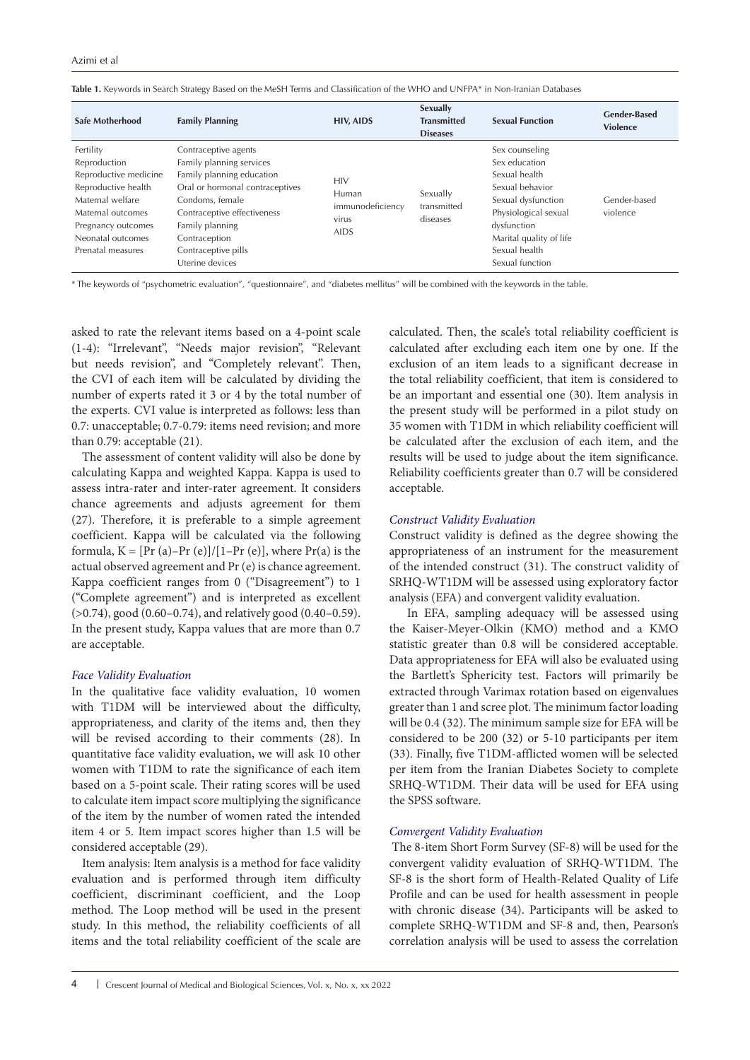| Safe Motherhood                                                                                                                                                                    | <b>Family Planning</b>                                                                                                                                                                                                                           | <b>HIV, AIDS</b>                                                | Sexually<br><b>Transmitted</b><br><b>Diseases</b> | <b>Sexual Function</b>                                                                                                                                                                          | <b>Gender-Based</b><br><b>Violence</b> |
|------------------------------------------------------------------------------------------------------------------------------------------------------------------------------------|--------------------------------------------------------------------------------------------------------------------------------------------------------------------------------------------------------------------------------------------------|-----------------------------------------------------------------|---------------------------------------------------|-------------------------------------------------------------------------------------------------------------------------------------------------------------------------------------------------|----------------------------------------|
| Fertility<br>Reproduction<br>Reproductive medicine<br>Reproductive health<br>Maternal welfare<br>Maternal outcomes<br>Pregnancy outcomes<br>Neonatal outcomes<br>Prenatal measures | Contraceptive agents<br>Family planning services<br>Family planning education<br>Oral or hormonal contraceptives<br>Condoms, female<br>Contraceptive effectiveness<br>Family planning<br>Contraception<br>Contraceptive pills<br>Uterine devices | <b>HIV</b><br>Human<br>immunodeficiency<br>virus<br><b>AIDS</b> | Sexually<br>transmitted<br>diseases               | Sex counseling<br>Sex education<br>Sexual health<br>Sexual behavior<br>Sexual dysfunction<br>Physiological sexual<br>dysfunction<br>Marital quality of life<br>Sexual health<br>Sexual function | Gender-based<br>violence               |

**Table 1.** Keywords in Search Strategy Based on the MeSH Terms and Classification of the WHO and UNFPA\* in Non-Iranian Databases

\* The keywords of "psychometric evaluation", "questionnaire", and "diabetes mellitus" will be combined with the keywords in the table.

asked to rate the relevant items based on a 4-point scale (1-4): "Irrelevant", "Needs major revision", "Relevant but needs revision", and "Completely relevant". Then, the CVI of each item will be calculated by dividing the number of experts rated it 3 or 4 by the total number of the experts. CVI value is interpreted as follows: less than 0.7: unacceptable; 0.7-0.79: items need revision; and more than 0.79: acceptable (21).

The assessment of content validity will also be done by calculating Kappa and weighted Kappa. Kappa is used to assess intra-rater and inter-rater agreement. It considers chance agreements and adjusts agreement for them (27). Therefore, it is preferable to a simple agreement coefficient. Kappa will be calculated via the following formula,  $K = [Pr(a)-Pr(e)]/[1-Pr(e)]$ , where  $Pr(a)$  is the actual observed agreement and Pr (e) is chance agreement. Kappa coefficient ranges from 0 ("Disagreement") to 1 ("Complete agreement") and is interpreted as excellent (>0.74), good (0.60–0.74), and relatively good (0.40–0.59). In the present study, Kappa values that are more than 0.7 are acceptable.

## *Face Validity Evaluation*

In the qualitative face validity evaluation, 10 women with T1DM will be interviewed about the difficulty, appropriateness, and clarity of the items and, then they will be revised according to their comments (28). In quantitative face validity evaluation, we will ask 10 other women with T1DM to rate the significance of each item based on a 5-point scale. Their rating scores will be used to calculate item impact score multiplying the significance of the item by the number of women rated the intended item 4 or 5. Item impact scores higher than 1.5 will be considered acceptable (29).

Item analysis: Item analysis is a method for face validity evaluation and is performed through item difficulty coefficient, discriminant coefficient, and the Loop method. The Loop method will be used in the present study. In this method, the reliability coefficients of all items and the total reliability coefficient of the scale are

calculated. Then, the scale's total reliability coefficient is calculated after excluding each item one by one. If the exclusion of an item leads to a significant decrease in the total reliability coefficient, that item is considered to be an important and essential one (30). Item analysis in the present study will be performed in a pilot study on 35 women with T1DM in which reliability coefficient will be calculated after the exclusion of each item, and the results will be used to judge about the item significance. Reliability coefficients greater than 0.7 will be considered acceptable.

# *Construct Validity Evaluation*

Construct validity is defined as the degree showing the appropriateness of an instrument for the measurement of the intended construct (31). The construct validity of SRHQ-WT1DM will be assessed using exploratory factor analysis (EFA) and convergent validity evaluation.

In EFA, sampling adequacy will be assessed using the Kaiser-Meyer-Olkin (KMO) method and a KMO statistic greater than 0.8 will be considered acceptable. Data appropriateness for EFA will also be evaluated using the Bartlett's Sphericity test. Factors will primarily be extracted through Varimax rotation based on eigenvalues greater than 1 and scree plot. The minimum factor loading will be 0.4 (32). The minimum sample size for EFA will be considered to be 200 (32) or 5-10 participants per item (33). Finally, five T1DM-afflicted women will be selected per item from the Iranian Diabetes Society to complete SRHQ-WT1DM. Their data will be used for EFA using the SPSS software.

# *Convergent Validity Evaluation*

 The 8-item Short Form Survey (SF-8) will be used for the convergent validity evaluation of SRHQ-WT1DM. The SF-8 is the short form of Health-Related Quality of Life Profile and can be used for health assessment in people with chronic disease (34). Participants will be asked to complete SRHQ-WT1DM and SF-8 and, then, Pearson's correlation analysis will be used to assess the correlation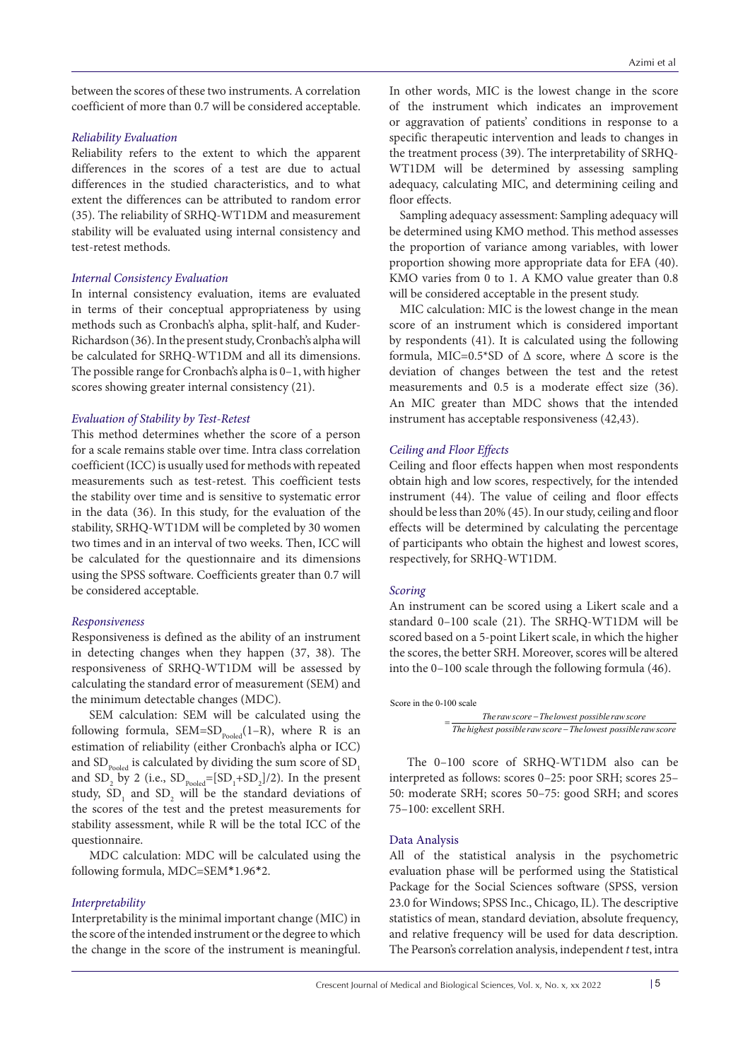between the scores of these two instruments. A correlation coefficient of more than 0.7 will be considered acceptable.

# *Reliability Evaluation*

Reliability refers to the extent to which the apparent differences in the scores of a test are due to actual differences in the studied characteristics, and to what extent the differences can be attributed to random error (35). The reliability of SRHQ-WT1DM and measurement stability will be evaluated using internal consistency and test-retest methods.

# *Internal Consistency Evaluation*

In internal consistency evaluation, items are evaluated in terms of their conceptual appropriateness by using methods such as Cronbach's alpha, split-half, and Kuder-Richardson (36). In the present study, Cronbach's alpha will be calculated for SRHQ-WT1DM and all its dimensions. The possible range for Cronbach's alpha is 0–1, with higher scores showing greater internal consistency (21).

# *Evaluation of Stability by Test-Retest*

This method determines whether the score of a person for a scale remains stable over time. Intra class correlation coefficient (ICC) is usually used for methods with repeated measurements such as test-retest. This coefficient tests the stability over time and is sensitive to systematic error in the data (36). In this study, for the evaluation of the stability, SRHQ-WT1DM will be completed by 30 women two times and in an interval of two weeks. Then, ICC will be calculated for the questionnaire and its dimensions using the SPSS software. Coefficients greater than 0.7 will be considered acceptable.

# *Responsiveness*

Responsiveness is defined as the ability of an instrument in detecting changes when they happen (37, 38). The responsiveness of SRHQ-WT1DM will be assessed by calculating the standard error of measurement (SEM) and the minimum detectable changes (MDC).

SEM calculation: SEM will be calculated using the following formula, SEM=SD<sub>pooled</sub>(1–R), where R is an estimation of reliability (either Cronbach's alpha or ICC) and  $\text{SD}_\text{pooled}$  is calculated by dividing the sum score of  $\text{SD}_\text{\tiny{l}}$ and  $SD_2$  by 2 (i.e.,  $SD_{pooled} = [SD_1 + SD_2]/2$ ). In the present study,  $SD_1$  and  $SD_2$  will be the standard deviations of the scores of the test and the pretest measurements for stability assessment, while R will be the total ICC of the questionnaire.

MDC calculation: MDC will be calculated using the following formula, MDC=SEM\*1.96\*2.

# *Interpretability*

Interpretability is the minimal important change (MIC) in the score of the intended instrument or the degree to which the change in the score of the instrument is meaningful. In other words, MIC is the lowest change in the score of the instrument which indicates an improvement or aggravation of patients' conditions in response to a specific therapeutic intervention and leads to changes in the treatment process (39). The interpretability of SRHQ-WT1DM will be determined by assessing sampling adequacy, calculating MIC, and determining ceiling and floor effects.

Sampling adequacy assessment: Sampling adequacy will be determined using KMO method. This method assesses the proportion of variance among variables, with lower proportion showing more appropriate data for EFA (40). KMO varies from 0 to 1. A KMO value greater than 0.8 will be considered acceptable in the present study.

MIC calculation: MIC is the lowest change in the mean score of an instrument which is considered important by respondents (41). It is calculated using the following formula, MIC=0.5\*SD of  $\Delta$  score, where  $\Delta$  score is the deviation of changes between the test and the retest measurements and 0.5 is a moderate effect size (36). An MIC greater than MDC shows that the intended instrument has acceptable responsiveness (42,43).

# *Ceiling and Floor Effects*

Ceiling and floor effects happen when most respondents obtain high and low scores, respectively, for the intended instrument (44). The value of ceiling and floor effects should be less than 20% (45). In our study, ceiling and floor effects will be determined by calculating the percentage of participants who obtain the highest and lowest scores, respectively, for SRHQ-WT1DM.

# *Scoring*

An instrument can be scored using a Likert scale and a standard 0–100 scale (21). The SRHQ-WT1DM will be scored based on a 5-point Likert scale, in which the higher the scores, the better SRH. Moreover, scores will be altered into the 0–100 scale through the following formula (46).

```
Score in the 0-100 scale
```
*The raw score Thelowest possible raw score The raw score − The lowest possible raw score*<br>The highest possible raw score − The lowest possible raw score

The 0–100 score of SRHQ-WT1DM also can be interpreted as follows: scores 0–25: poor SRH; scores 25– 50: moderate SRH; scores 50–75: good SRH; and scores 75–100: excellent SRH.

# Data Analysis

All of the statistical analysis in the psychometric evaluation phase will be performed using the Statistical Package for the Social Sciences software (SPSS, version 23.0 for Windows; SPSS Inc., Chicago, IL). The descriptive statistics of mean, standard deviation, absolute frequency, and relative frequency will be used for data description. The Pearson's correlation analysis, independent *t* test, intra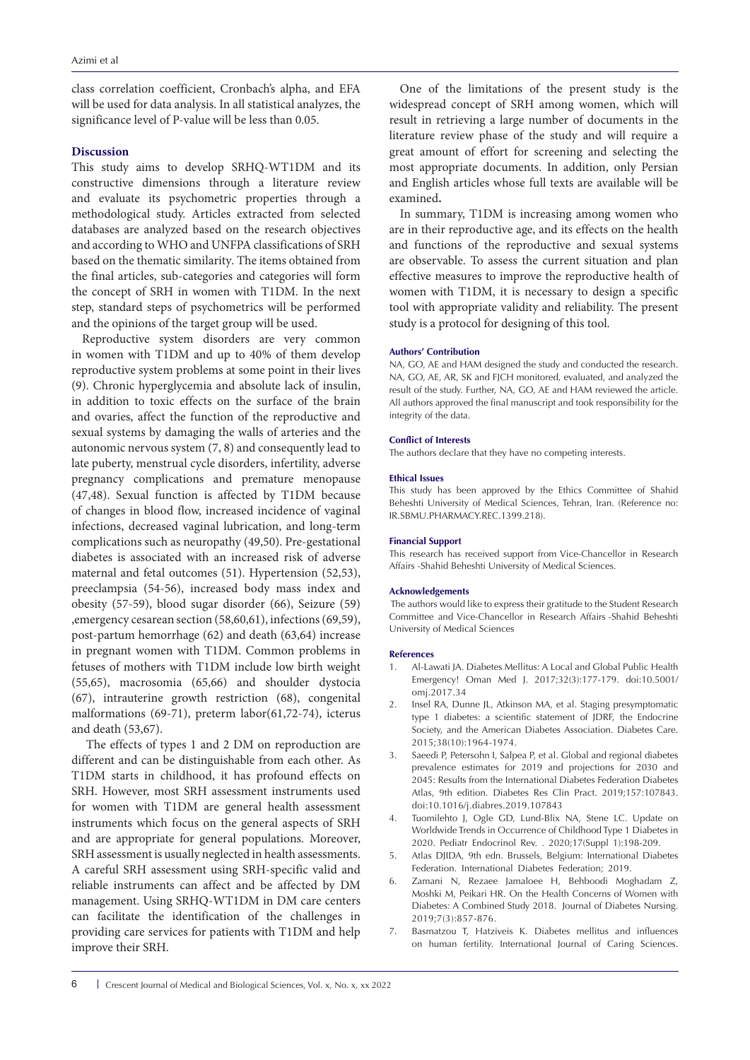class correlation coefficient, Cronbach's alpha, and EFA will be used for data analysis. In all statistical analyzes, the significance level of P-value will be less than 0.05.

# **Discussion**

This study aims to develop SRHQ-WT1DM and its constructive dimensions through a literature review and evaluate its psychometric properties through a methodological study. Articles extracted from selected databases are analyzed based on the research objectives and according to WHO and UNFPA classifications of SRH based on the thematic similarity. The items obtained from the final articles, sub-categories and categories will form the concept of SRH in women with T1DM. In the next step, standard steps of psychometrics will be performed and the opinions of the target group will be used.

Reproductive system disorders are very common in women with T1DM and up to 40% of them develop reproductive system problems at some point in their lives (9). Chronic hyperglycemia and absolute lack of insulin, in addition to toxic effects on the surface of the brain and ovaries, affect the function of the reproductive and sexual systems by damaging the walls of arteries and the autonomic nervous system (7, 8) and consequently lead to late puberty, menstrual cycle disorders, infertility, adverse pregnancy complications and premature menopause (47,48). Sexual function is affected by T1DM because of changes in blood flow, increased incidence of vaginal infections, decreased vaginal lubrication, and long-term complications such as neuropathy (49,50). Pre-gestational diabetes is associated with an increased risk of adverse maternal and fetal outcomes (51). Hypertension (52,53), preeclampsia (54-56), increased body mass index and obesity (57-59), blood sugar disorder (66), Seizure (59) ,emergency cesarean section (58,60,61), infections (69,59), post-partum hemorrhage (62) and death (63,64) increase in pregnant women with T1DM. Common problems in fetuses of mothers with T1DM include low birth weight (55,65), macrosomia (65,66) and shoulder dystocia (67), intrauterine growth restriction (68), congenital malformations (69-71), preterm labor(61,72-74), icterus and death (53,67).

 The effects of types 1 and 2 DM on reproduction are different and can be distinguishable from each other. As T1DM starts in childhood, it has profound effects on SRH. However, most SRH assessment instruments used for women with T1DM are general health assessment instruments which focus on the general aspects of SRH and are appropriate for general populations. Moreover, SRH assessment is usually neglected in health assessments. A careful SRH assessment using SRH-specific valid and reliable instruments can affect and be affected by DM management. Using SRHQ-WT1DM in DM care centers can facilitate the identification of the challenges in providing care services for patients with T1DM and help improve their SRH.

One of the limitations of the present study is the widespread concept of SRH among women, which will result in retrieving a large number of documents in the literature review phase of the study and will require a great amount of effort for screening and selecting the most appropriate documents. In addition, only Persian and English articles whose full texts are available will be examined**.**

In summary, T1DM is increasing among women who are in their reproductive age, and its effects on the health and functions of the reproductive and sexual systems are observable. To assess the current situation and plan effective measures to improve the reproductive health of women with T1DM, it is necessary to design a specific tool with appropriate validity and reliability. The present study is a protocol for designing of this tool.

#### **Authors' Contribution**

NA, GO, AE and HAM designed the study and conducted the research. NA, GO, AE, AR, SK and FJCH monitored, evaluated, and analyzed the result of the study. Further, NA, GO, AE and HAM reviewed the article. All authors approved the final manuscript and took responsibility for the integrity of the data.

#### **Conflict of Interests**

The authors declare that they have no competing interests.

#### **Ethical Issues**

This study has been approved by the Ethics Committee of Shahid Beheshti University of Medical Sciences, Tehran, Iran. (Reference no: IR.SBMU.PHARMACY.REC.1399.218).

#### **Financial Support**

This research has received support from Vice-Chancellor in Research Affairs -Shahid Beheshti University of Medical Sciences.

#### **Acknowledgements**

 The authors would like to express their gratitude to the Student Research Committee and Vice-Chancellor in Research Affairs -Shahid Beheshti University of Medical Sciences

#### **References**

- 1. Al-Lawati JA. Diabetes Mellitus: A Local and Global Public Health Emergency! Oman Med J. 2017;32(3):177-179. doi:10.5001/ omj.2017.34
- 2. Insel RA, Dunne JL, Atkinson MA, et al. Staging presymptomatic type 1 diabetes: a scientific statement of JDRF, the Endocrine Society, and the American Diabetes Association. Diabetes Care. 2015;38(10):1964-1974.
- 3. Saeedi P, Petersohn I, Salpea P, et al. Global and regional diabetes prevalence estimates for 2019 and projections for 2030 and 2045: Results from the International Diabetes Federation Diabetes Atlas, 9th edition. Diabetes Res Clin Pract. 2019;157:107843. doi:10.1016/j.diabres.2019.107843
- 4. Tuomilehto J, Ogle GD, Lund-Blix NA, Stene LC. Update on Worldwide Trends in Occurrence of Childhood Type 1 Diabetes in 2020. Pediatr Endocrinol Rev. . 2020;17(Suppl 1):198-209.
- 5. Atlas DJIDA, 9th edn. Brussels, Belgium: International Diabetes Federation. International Diabetes Federation; 2019.
- 6. Zamani N, Rezaee Jamaloee H, Behboodi Moghadam Z, Moshki M, Peikari HR. On the Health Concerns of Women with Diabetes: A Combined Study 2018. Journal of Diabetes Nursing. 2019;7(3):857-876.
- 7. Basmatzou T, Hatziveis K. Diabetes mellitus and influences on human fertility. International Journal of Caring Sciences.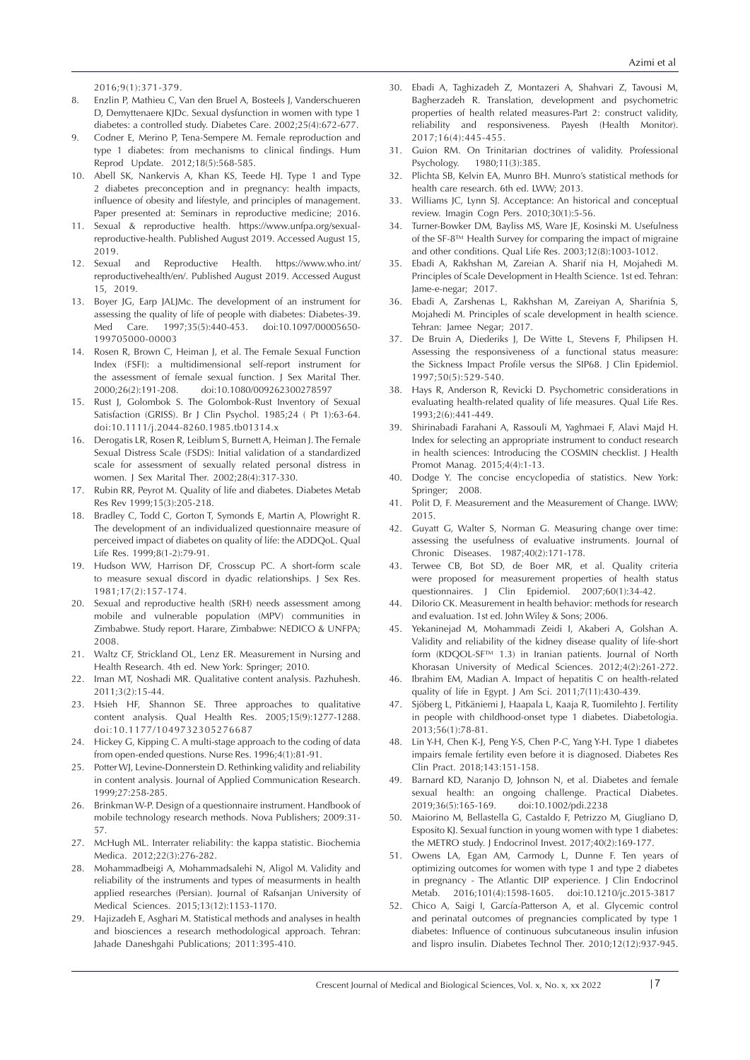2016;9(1):371-379.

- 8. Enzlin P, Mathieu C, Van den Bruel A, Bosteels J, Vanderschueren D, Demyttenaere KJDc. Sexual dysfunction in women with type 1 diabetes: a controlled study. Diabetes Care. 2002;25(4):672-677.
- 9. Codner E, Merino P, Tena-Sempere M. Female reproduction and type 1 diabetes: from mechanisms to clinical findings. Hum Reprod Update. 2012;18(5):568-585.
- 10. Abell SK, Nankervis A, Khan KS, Teede HJ. Type 1 and Type 2 diabetes preconception and in pregnancy: health impacts, influence of obesity and lifestyle, and principles of management. Paper presented at: Seminars in reproductive medicine; 2016.
- 11. Sexual & reproductive health. https://www.unfpa.org/sexualreproductive-health. Published August 2019. Accessed August 15, 2019.
- 12. Sexual and Reproductive Health. https://www.who.int/ reproductivehealth/en/. Published August 2019. Accessed August 15, 2019.
- 13. Boyer JG, Earp JALJMc. The development of an instrument for assessing the quality of life of people with diabetes: Diabetes-39. Med Care. 1997;35(5):440-453. doi:10.1097/00005650- 199705000-00003
- 14. Rosen R, Brown C, Heiman J, et al. The Female Sexual Function Index (FSFI): a multidimensional self-report instrument for the assessment of female sexual function. J Sex Marital Ther. 2000;26(2):191-208. doi:10.1080/009262300278597
- 15. Rust J, Golombok S. The Golombok-Rust Inventory of Sexual Satisfaction (GRISS). Br J Clin Psychol. 1985;24 ( Pt 1):63-64. doi:10.1111/j.2044-8260.1985.tb01314.x
- 16. Derogatis LR, Rosen R, Leiblum S, Burnett A, Heiman J. The Female Sexual Distress Scale (FSDS): Initial validation of a standardized scale for assessment of sexually related personal distress in women. J Sex Marital Ther. 2002;28(4):317-330.
- 17. Rubin RR, Peyrot M. Quality of life and diabetes. Diabetes Metab Res Rev 1999;15(3):205-218.
- 18. Bradley C, Todd C, Gorton T, Symonds E, Martin A, Plowright R. The development of an individualized questionnaire measure of perceived impact of diabetes on quality of life: the ADDQoL. Qual Life Res. 1999;8(1-2):79-91.
- 19. Hudson WW, Harrison DF, Crosscup PC. A short‐form scale to measure sexual discord in dyadic relationships. J Sex Res.  $1981 \cdot 17(2) \cdot 157 - 174$
- 20. Sexual and reproductive health (SRH) needs assessment among mobile and vulnerable population (MPV) communities in Zimbabwe. Study report. Harare, Zimbabwe: NEDICO & UNFPA; 2008.
- 21. Waltz CF, Strickland OL, Lenz ER. Measurement in Nursing and Health Research. 4th ed. New York: Springer; 2010.
- 22. Iman MT, Noshadi MR. Qualitative content analysis. Pazhuhesh. 2011;3(2):15-44.
- 23. Hsieh HF, Shannon SE. Three approaches to qualitative content analysis. Qual Health Res. 2005;15(9):1277-1288. doi:10.1177/1049732305276687
- 24. Hickey G, Kipping C. A multi-stage approach to the coding of data from open-ended questions. Nurse Res. 1996;4(1):81-91.
- 25. Potter WJ, Levine‐Donnerstein D. Rethinking validity and reliability in content analysis. Journal of Applied Communication Research. 1999;27:258-285.
- 26. Brinkman W-P. Design of a questionnaire instrument. Handbook of mobile technology research methods. Nova Publishers; 2009:31- 57.
- 27. McHugh ML. Interrater reliability: the kappa statistic. Biochemia Medica. 2012;22(3):276-282.
- 28. Mohammadbeigi A, Mohammadsalehi N, Aligol M. Validity and reliability of the instruments and types of measurments in health applied researches (Persian). Journal of Rafsanjan University of Medical Sciences. 2015;13(12):1153-1170.
- 29. Hajizadeh E, Asghari M. Statistical methods and analyses in health and biosciences a research methodological approach. Tehran: Jahade Daneshgahi Publications; 2011:395-410.
- 30. Ebadi A, Taghizadeh Z, Montazeri A, Shahvari Z, Tavousi M, Bagherzadeh R. Translation, development and psychometric properties of health related measures-Part 2: construct validity, reliability and responsiveness. Payesh (Health Monitor). 2017;16(4):445-455.
- 31. Guion RM. On Trinitarian doctrines of validity. Professional Psychology. 1980;11(3):385.
- Plichta SB, Kelvin EA, Munro BH. Munro's statistical methods for health care research. 6th ed. LWW; 2013.
- 33. Williams JC, Lynn SJ. Acceptance: An historical and conceptual review. Imagin Cogn Pers. 2010;30(1):5-56.
- 34. Turner-Bowker DM, Bayliss MS, Ware JE, Kosinski M. Usefulness of the SF-8™ Health Survey for comparing the impact of migraine and other conditions. Qual Life Res. 2003;12(8):1003-1012.
- 35. Ebadi A, Rakhshan M, Zareian A. Sharif nia H, Mojahedi M. Principles of Scale Development in Health Science. 1st ed. Tehran: Jame-e-negar; 2017.
- 36. Ebadi A, Zarshenas L, Rakhshan M, Zareiyan A, Sharifnia S, Mojahedi M. Principles of scale development in health science. Tehran: Jamee Negar; 2017.
- 37. De Bruin A, Diederiks J, De Witte L, Stevens F, Philipsen H. Assessing the responsiveness of a functional status measure: the Sickness Impact Profile versus the SIP68. J Clin Epidemiol. 1997;50(5):529-540.
- 38. Hays R, Anderson R, Revicki D. Psychometric considerations in evaluating health-related quality of life measures. Qual Life Res. 1993;2(6):441-449.
- 39. Shirinabadi Farahani A, Rassouli M, Yaghmaei F, Alavi Majd H. Index for selecting an appropriate instrument to conduct research in health sciences: Introducing the COSMIN checklist. J Health Promot Manag. 2015;4(4):1-13.
- 40. Dodge Y. The concise encyclopedia of statistics. New York: Springer; 2008.
- 41. Polit D, F. Measurement and the Measurement of Change. LWW; 2015.
- 42. Guyatt G, Walter S, Norman G. Measuring change over time: assessing the usefulness of evaluative instruments. Journal of Chronic Diseases. 1987;40(2):171-178.
- 43. Terwee CB, Bot SD, de Boer MR, et al. Quality criteria were proposed for measurement properties of health status questionnaires. J Clin Epidemiol. 2007;60(1):34-42.
- 44. DiIorio CK. Measurement in health behavior: methods for research and evaluation. 1st ed. John Wiley & Sons; 2006.
- 45. Yekaninejad M, Mohammadi Zeidi I, Akaberi A, Golshan A. Validity and reliability of the kidney disease quality of life-short form (KDQOL-SF™ 1.3) in Iranian patients. Journal of North Khorasan University of Medical Sciences. 2012;4(2):261-272.
- 46. Ibrahim EM, Madian A. Impact of hepatitis C on health-related quality of life in Egypt. J Am Sci. 2011;7(11):430-439.
- 47. Sjöberg L, Pitkäniemi J, Haapala L, Kaaja R, Tuomilehto J. Fertility in people with childhood-onset type 1 diabetes. Diabetologia. 2013;56(1):78-81.
- 48. Lin Y-H, Chen K-J, Peng Y-S, Chen P-C, Yang Y-H. Type 1 diabetes impairs female fertility even before it is diagnosed. Diabetes Res Clin Pract. 2018;143:151-158.
- 49. Barnard KD, Naranjo D, Johnson N, et al. Diabetes and female sexual health: an ongoing challenge. Practical Diabetes. 2019;36(5):165-169. doi:10.1002/pdi.2238
- 50. Maiorino M, Bellastella G, Castaldo F, Petrizzo M, Giugliano D, Esposito KJ. Sexual function in young women with type 1 diabetes: the METRO study. J Endocrinol Invest. 2017;40(2):169-177.
- 51. Owens LA, Egan AM, Carmody L, Dunne F. Ten years of optimizing outcomes for women with type 1 and type 2 diabetes in pregnancy - The Atlantic DIP experience. J Clin Endocrinol Metab. 2016;101(4):1598-1605. doi:10.1210/jc.2015-3817
- 52. Chico A, Saigi I, García-Patterson A, et al. Glycemic control and perinatal outcomes of pregnancies complicated by type 1 diabetes: Influence of continuous subcutaneous insulin infusion and lispro insulin. Diabetes Technol Ther. 2010;12(12):937-945.